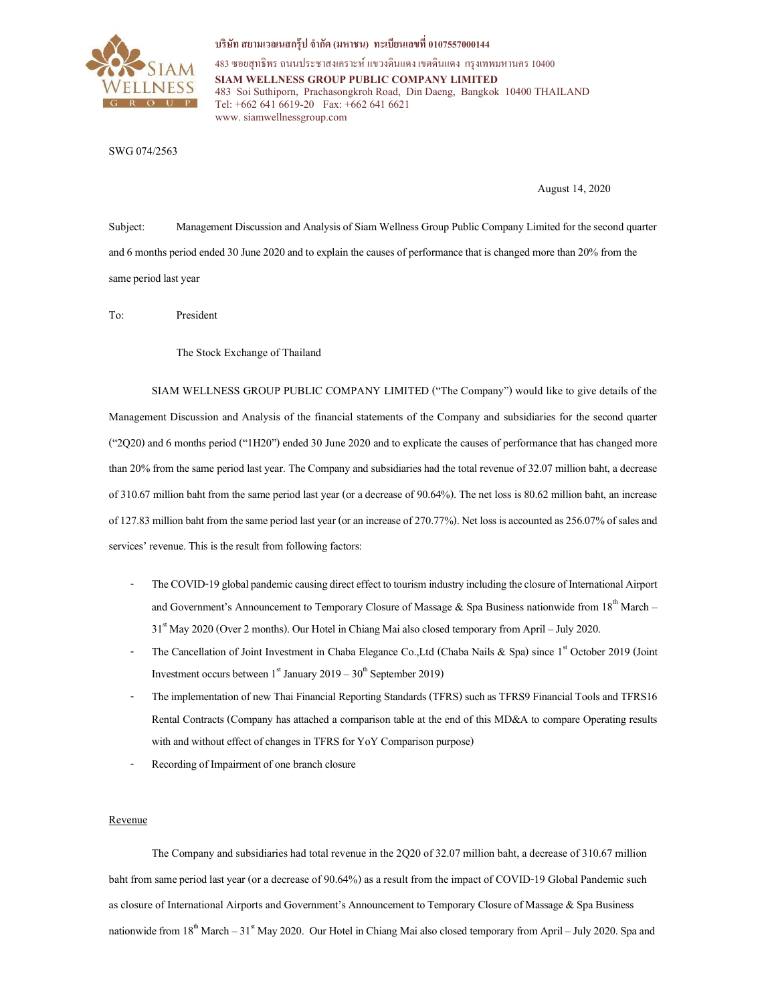

บริษัท สยามเวลเนสกรุ๊ป จำกัด (มหาชน) ทะเบียนเลขที่ 0107557000144

483 ซอยสุทธิพร ถนนประชาสงเคราะห์ แขวงดินแดง เขตดินแดง กรุงเทพมหานคร 10400 SIAM WELLNESS GROUP PUBLIC COMPANY LIMITED 483 Soi Suthiporn, Prachasongkroh Road, Din Daeng, Bangkok 10400 THAILAND Tel: +662 641 6619-20 Fax: +662 641 6621 www. siamwellnessgroup.com

## SWG 074/2563

August 14, 2020

Subject: Management Discussion and Analysis of Siam Wellness Group Public Company Limited for the second quarter and 6 months period ended 30 June 2020 and to explain the causes of performance that is changed more than 20% from the same period last year

To: President

The Stock Exchange of Thailand

SIAM WELLNESS GROUP PUBLIC COMPANY LIMITED ("The Company") would like to give details of the Management Discussion and Analysis of the financial statements of the Company and subsidiaries for the second quarter ("2Q20) and 6 months period ("1H20") ended 30 June 2020 and to explicate the causes of performance that has changed more than 20% from the same period last year. The Company and subsidiaries had the total revenue of 32.07 million baht, a decrease of 310.67 million baht from the same period last year (or a decrease of 90.64%). The net loss is 80.62 million baht, an increase of 127.83 million baht from the same period last year (or an increase of 270.77%). Net loss is accounted as 256.07% of sales and services' revenue. This is the result from following factors:

- The COVID-19 global pandemic causing direct effect to tourism industry including the closure of International Airport and Government's Announcement to Temporary Closure of Massage & Spa Business nationwide from 18<sup>th</sup> March – 31st May 2020 (Over 2 months). Our Hotel in Chiang Mai also closed temporary from April – July 2020.
- The Cancellation of Joint Investment in Chaba Elegance Co., Ltd (Chaba Nails & Spa) since  $1<sup>st</sup>$  October 2019 (Joint Investment occurs between  $1<sup>st</sup>$  January 2019 – 30<sup>th</sup> September 2019)
- The implementation of new Thai Financial Reporting Standards (TFRS) such as TFRS9 Financial Tools and TFRS16 Rental Contracts (Company has attached a comparison table at the end of this MD&A to compare Operating results with and without effect of changes in TFRS for YoY Comparison purpose)
- Recording of Impairment of one branch closure

## Revenue

The Company and subsidiaries had total revenue in the 2Q20 of 32.07 million baht, a decrease of 310.67 million baht from same period last year (or a decrease of 90.64%) as a result from the impact of COVID-19 Global Pandemic such as closure of International Airports and Government's Announcement to Temporary Closure of Massage & Spa Business nationwide from  $18<sup>th</sup>$  March –  $31<sup>st</sup>$  May 2020. Our Hotel in Chiang Mai also closed temporary from April – July 2020. Spa and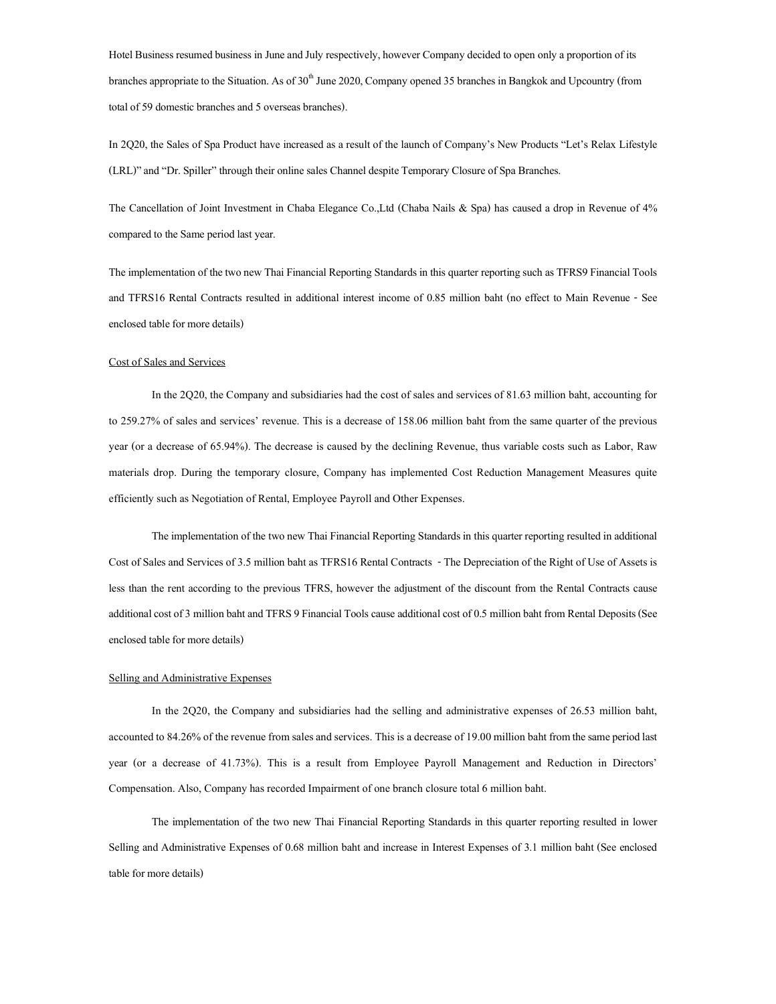Hotel Business resumed business in June and July respectively, however Company decided to open only a proportion of its branches appropriate to the Situation. As of  $30<sup>th</sup>$  June 2020, Company opened 35 branches in Bangkok and Upcountry (from total of 59 domestic branches and 5 overseas branches).

In 2Q20, the Sales of Spa Product have increased as a result of the launch of Company's New Products "Let's Relax Lifestyle (LRL)" and "Dr. Spiller" through their online sales Channel despite Temporary Closure of Spa Branches.

The Cancellation of Joint Investment in Chaba Elegance Co.,Ltd (Chaba Nails & Spa) has caused a drop in Revenue of 4% compared to the Same period last year.

The implementation of the two new Thai Financial Reporting Standards in this quarter reporting such as TFRS9 Financial Tools and TFRS16 Rental Contracts resulted in additional interest income of 0.85 million baht (no effect to Main Revenue - See enclosed table for more details)

### Cost of Sales and Services

In the 2Q20, the Company and subsidiaries had the cost of sales and services of 81.63 million baht, accounting for to 259.27% of sales and services' revenue. This is a decrease of 158.06 million baht from the same quarter of the previous year (or a decrease of 65.94%). The decrease is caused by the declining Revenue, thus variable costs such as Labor, Raw materials drop. During the temporary closure, Company has implemented Cost Reduction Management Measures quite efficiently such as Negotiation of Rental, Employee Payroll and Other Expenses.

The implementation of the two new Thai Financial Reporting Standards in this quarter reporting resulted in additional Cost of Sales and Services of 3.5 million baht as TFRS16 Rental Contracts - The Depreciation of the Right of Use of Assets is less than the rent according to the previous TFRS, however the adjustment of the discount from the Rental Contracts cause additional cost of 3 million baht and TFRS 9 Financial Tools cause additional cost of 0.5 million baht from Rental Deposits (See enclosed table for more details)

#### Selling and Administrative Expenses

 In the 2Q20, the Company and subsidiaries had the selling and administrative expenses of 26.53 million baht, accounted to 84.26% of the revenue from sales and services. This is a decrease of 19.00 million baht from the same period last year (or a decrease of 41.73%). This is a result from Employee Payroll Management and Reduction in Directors' Compensation. Also, Company has recorded Impairment of one branch closure total 6 million baht.

 The implementation of the two new Thai Financial Reporting Standards in this quarter reporting resulted in lower Selling and Administrative Expenses of 0.68 million baht and increase in Interest Expenses of 3.1 million baht (See enclosed table for more details)